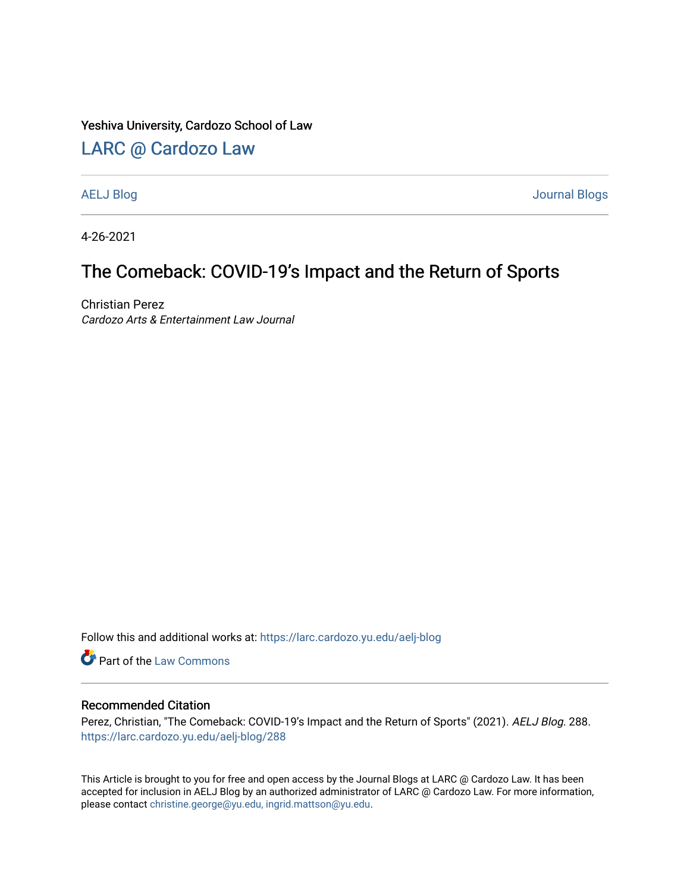### Yeshiva University, Cardozo School of Law

## [LARC @ Cardozo Law](https://larc.cardozo.yu.edu/)

[AELJ Blog](https://larc.cardozo.yu.edu/aelj-blog) [Journal Blogs](https://larc.cardozo.yu.edu/journal-blogs) 

4-26-2021

## The Comeback: COVID-19's Impact and the Return of Sports

Christian Perez Cardozo Arts & Entertainment Law Journal

Follow this and additional works at: [https://larc.cardozo.yu.edu/aelj-blog](https://larc.cardozo.yu.edu/aelj-blog?utm_source=larc.cardozo.yu.edu%2Faelj-blog%2F288&utm_medium=PDF&utm_campaign=PDFCoverPages) 

Part of the [Law Commons](http://network.bepress.com/hgg/discipline/578?utm_source=larc.cardozo.yu.edu%2Faelj-blog%2F288&utm_medium=PDF&utm_campaign=PDFCoverPages)

### Recommended Citation

Perez, Christian, "The Comeback: COVID-19's Impact and the Return of Sports" (2021). AELJ Blog. 288. [https://larc.cardozo.yu.edu/aelj-blog/288](https://larc.cardozo.yu.edu/aelj-blog/288?utm_source=larc.cardozo.yu.edu%2Faelj-blog%2F288&utm_medium=PDF&utm_campaign=PDFCoverPages) 

This Article is brought to you for free and open access by the Journal Blogs at LARC @ Cardozo Law. It has been accepted for inclusion in AELJ Blog by an authorized administrator of LARC @ Cardozo Law. For more information, please contact [christine.george@yu.edu, ingrid.mattson@yu.edu.](mailto:christine.george@yu.edu,%20ingrid.mattson@yu.edu)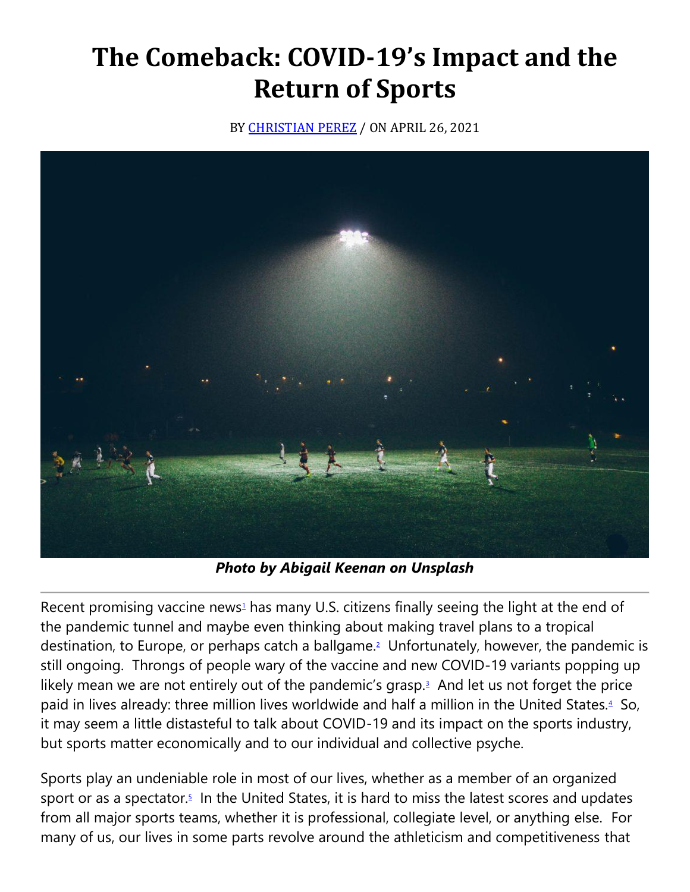# **The Comeback: COVID-19's Impact and the Return of Sports**

BY **[CHRISTIAN PEREZ](https://cardozoaelj.com/author/christian-perez/)** / ON APRIL 26, 2021



*Photo by Abigail Keenan on Unsplash*

Recent promi[s](https://cardozoaelj.com/2021/04/26/the-comeback-covid-19s-impact-and-the-return-of-sports/#easy-footnote-bottom-1-6936)ing vaccine news<sup>1</sup> has many U.S. citizens finally seeing the light at the end of the pandemic tunnel and maybe even thinking about making travel plans to a tropical destination, to Europe, or perhaps catch a ballgame[.](https://cardozoaelj.com/2021/04/26/the-comeback-covid-19s-impact-and-the-return-of-sports/#easy-footnote-bottom-2-6936)<sup>2</sup> Unfortunately, however, the pandemic is still ongoing. Throngs of people wary of the vaccine and new COVID-19 variants popping up likely mean we are not entirely out of the pandemic's grasp[.](https://cardozoaelj.com/2021/04/26/the-comeback-covid-19s-impact-and-the-return-of-sports/#easy-footnote-bottom-3-6936) $3$  And let us not forget the price paid in lives already: three million lives worldwide and half a million in the United States[.](https://cardozoaelj.com/2021/04/26/the-comeback-covid-19s-impact-and-the-return-of-sports/#easy-footnote-bottom-4-6936)<sup>4</sup> So, it may seem a little distasteful to talk about COVID-19 and its impact on the sports industry, but sports matter economically and to our individual and collective psyche.

Sports play an undeniable role in most of our lives, whether as a member of an organized sport or as a spectator[.](https://cardozoaelj.com/2021/04/26/the-comeback-covid-19s-impact-and-the-return-of-sports/#easy-footnote-bottom-5-6936) $5$  In the United States, it is hard to miss the latest scores and updates from all major sports teams, whether it is professional, collegiate level, or anything else. For many of us, our lives in some parts revolve around the athleticism and competitiveness that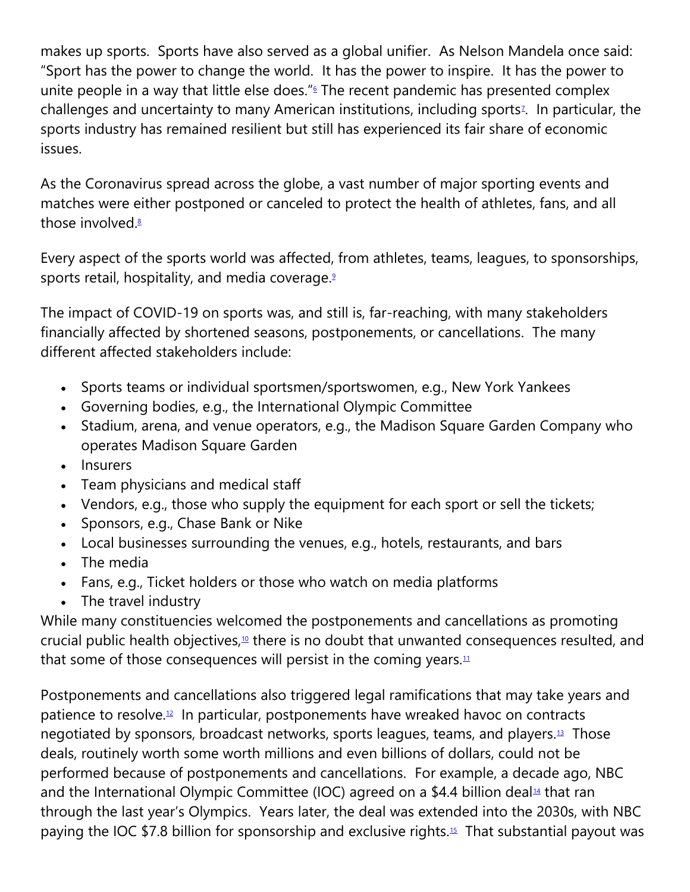makes up sports. Sports have also served as a global unifier. As Nelson Mandela once said: "Sport has the power to change the world. It has the power to inspire. It has the power to unite people in a way that little else does.["](https://cardozoaelj.com/2021/04/26/the-comeback-covid-19s-impact-and-the-return-of-sports/#easy-footnote-bottom-6-6936)<sup>6</sup> The recent pandemic has presented complex challenge[s](https://cardozoaelj.com/2021/04/26/the-comeback-covid-19s-impact-and-the-return-of-sports/#easy-footnote-bottom-7-6936) and uncertainty to many American institutions, including sports<sup>7</sup>. In particular, the sports industry has remained resilient but still has experienced its fair share of economic issues.

As the Coronavirus spread across the globe, a vast number of major sporting events and matches were either postponed or canceled to protect the health of athletes, fans, and all those involved[.](https://cardozoaelj.com/2021/04/26/the-comeback-covid-19s-impact-and-the-return-of-sports/#easy-footnote-bottom-8-6936) $8$ 

Every aspect of the sports world was affected, from athletes, teams, leagues, to sponsorships, sports retail, hospitality, and media coverage[.](https://cardozoaelj.com/2021/04/26/the-comeback-covid-19s-impact-and-the-return-of-sports/#easy-footnote-bottom-9-6936)<sup>9</sup>

The impact of COVID-19 on sports was, and still is, far-reaching, with many stakeholders financially affected by shortened seasons, postponements, or cancellations. The many different affected stakeholders include:

- Sports teams or individual sportsmen/sportswomen, e.g., New York Yankees
- Governing bodies, e.g., the International Olympic Committee
- Stadium, arena, and venue operators, e.g., the Madison Square Garden Company who operates Madison Square Garden
- Insurers
- Team physicians and medical staff
- Vendors, e.g., those who supply the equipment for each sport or sell the tickets;
- Sponsors, e.g., Chase Bank or Nike
- Local businesses surrounding the venues, e.g., hotels, restaurants, and bars
- The media
- Fans, e.g., Ticket holders or those who watch on media platforms
- The travel industry

While many constituencies welcomed the postponements and cancellations as promoting crucial public health objectives,<sup>[10](https://cardozoaelj.com/2021/04/26/the-comeback-covid-19s-impact-and-the-return-of-sports/#easy-footnote-bottom-10-6936)</sup> there is no doubt that unwanted consequences resulted, and that some of those consequences will persist in the coming years. $11$ 

Postponements and cancellations also triggered legal ramifications that may take years and patience to resolve.[12](https://cardozoaelj.com/2021/04/26/the-comeback-covid-19s-impact-and-the-return-of-sports/#easy-footnote-bottom-12-6936) In particular, postponements have wreaked havoc on contracts negotiated by sponsors, broadcast networks, sports leagues, teams, and players.<sup>[13](https://cardozoaelj.com/2021/04/26/the-comeback-covid-19s-impact-and-the-return-of-sports/#easy-footnote-bottom-13-6936)</sup> Those deals, routinely worth some worth millions and even billions of dollars, could not be performed because of postponements and cancellations. For example, a decade ago, NBC and the International Olympic Committee (IOC) agreed on a \$4.4 billion deal<sup>[14](https://cardozoaelj.com/2021/04/26/the-comeback-covid-19s-impact-and-the-return-of-sports/#easy-footnote-bottom-14-6936)</sup> that ran through the last year's Olympics. Years later, the deal was extended into the 2030s, with NBC paying the IOC \$7.8 billion for sponsorship and exclusive rights.[15](https://cardozoaelj.com/2021/04/26/the-comeback-covid-19s-impact-and-the-return-of-sports/#easy-footnote-bottom-15-6936) That substantial payout was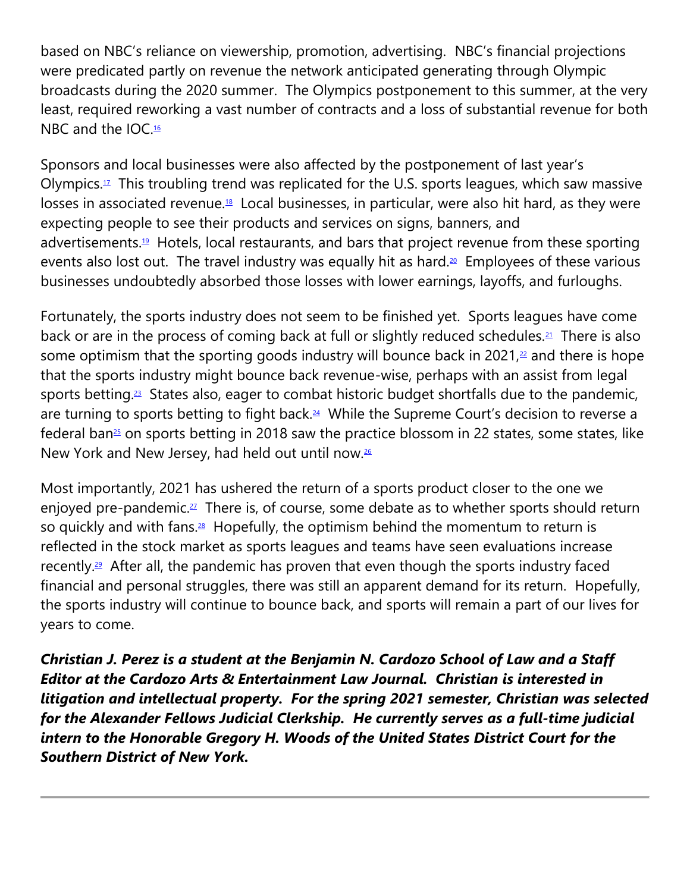based on NBC's reliance on viewership, promotion, advertising. NBC's financial projections were predicated partly on revenue the network anticipated generating through Olympic broadcasts during the 2020 summer. The Olympics postponement to this summer, at the very least, required reworking a vast number of contracts and a loss of substantial revenue for both NBC and the IOC.[16](https://cardozoaelj.com/2021/04/26/the-comeback-covid-19s-impact-and-the-return-of-sports/#easy-footnote-bottom-16-6936)

Sponsors and local businesses were also affected by the postponement of last year's Olympics.<sup>[17](https://cardozoaelj.com/2021/04/26/the-comeback-covid-19s-impact-and-the-return-of-sports/#easy-footnote-bottom-17-6936)</sup> This troubling trend was replicated for the U.S. sports leagues, which saw massive losses in associated revenue.[18](https://cardozoaelj.com/2021/04/26/the-comeback-covid-19s-impact-and-the-return-of-sports/#easy-footnote-bottom-18-6936) Local businesses, in particular, were also hit hard, as they were expecting people to see their products and services on signs, banners, and advertisements.<sup>[19](https://cardozoaelj.com/2021/04/26/the-comeback-covid-19s-impact-and-the-return-of-sports/#easy-footnote-bottom-19-6936)</sup> Hotels, local restaurants, and bars that project revenue from these sporting events also lost out. The travel industry was equally hit as hard.<sup>[20](https://cardozoaelj.com/2021/04/26/the-comeback-covid-19s-impact-and-the-return-of-sports/#easy-footnote-bottom-20-6936)</sup> Employees of these various businesses undoubtedly absorbed those losses with lower earnings, layoffs, and furloughs.

Fortunately, the sports industry does not seem to be finished yet. Sports leagues have come back or are in the process of coming back at full or slightly reduced schedules.<sup>[21](https://cardozoaelj.com/2021/04/26/the-comeback-covid-19s-impact-and-the-return-of-sports/#easy-footnote-bottom-21-6936)</sup> There is also some optimism that the sporting goods industry will bounce back in 2021, $22$  and there is hope that the sports industry might bounce back revenue-wise, perhaps with an assist from legal sports betting.<sup>[23](https://cardozoaelj.com/2021/04/26/the-comeback-covid-19s-impact-and-the-return-of-sports/#easy-footnote-bottom-23-6936)</sup> States also, eager to combat historic budget shortfalls due to the pandemic, are turning to sports betting to fight back.<sup>[24](https://cardozoaelj.com/2021/04/26/the-comeback-covid-19s-impact-and-the-return-of-sports/#easy-footnote-bottom-24-6936)</sup> While the Supreme Court's decision to reverse a federal ban<sup>[25](https://cardozoaelj.com/2021/04/26/the-comeback-covid-19s-impact-and-the-return-of-sports/#easy-footnote-bottom-25-6936)</sup> on sports betting in 2018 saw the practice blossom in 22 states, some states, like New York and New Jersey, had held out until now.[26](https://cardozoaelj.com/2021/04/26/the-comeback-covid-19s-impact-and-the-return-of-sports/#easy-footnote-bottom-26-6936)

Most importantly, 2021 has ushered the return of a sports product closer to the one we enjoyed pre-pandemic.<sup>[27](https://cardozoaelj.com/2021/04/26/the-comeback-covid-19s-impact-and-the-return-of-sports/#easy-footnote-bottom-27-6936)</sup> There is, of course, some debate as to whether sports should return so quickly and with fans. $28$  Hopefully, the optimism behind the momentum to return is reflected in the stock market as sports leagues and teams have seen evaluations increase recently.<sup>[29](https://cardozoaelj.com/2021/04/26/the-comeback-covid-19s-impact-and-the-return-of-sports/#easy-footnote-bottom-29-6936)</sup> After all, the pandemic has proven that even though the sports industry faced financial and personal struggles, there was still an apparent demand for its return. Hopefully, the sports industry will continue to bounce back, and sports will remain a part of our lives for years to come.

*Christian J. Perez is a student at the Benjamin N. Cardozo School of Law and a Staff Editor at the Cardozo Arts & Entertainment Law Journal. Christian is interested in litigation and intellectual property. For the spring 2021 semester, Christian was selected for the Alexander Fellows Judicial Clerkship. He currently serves as a full-time judicial intern to the Honorable Gregory H. Woods of the United States District Court for the Southern District of New York.*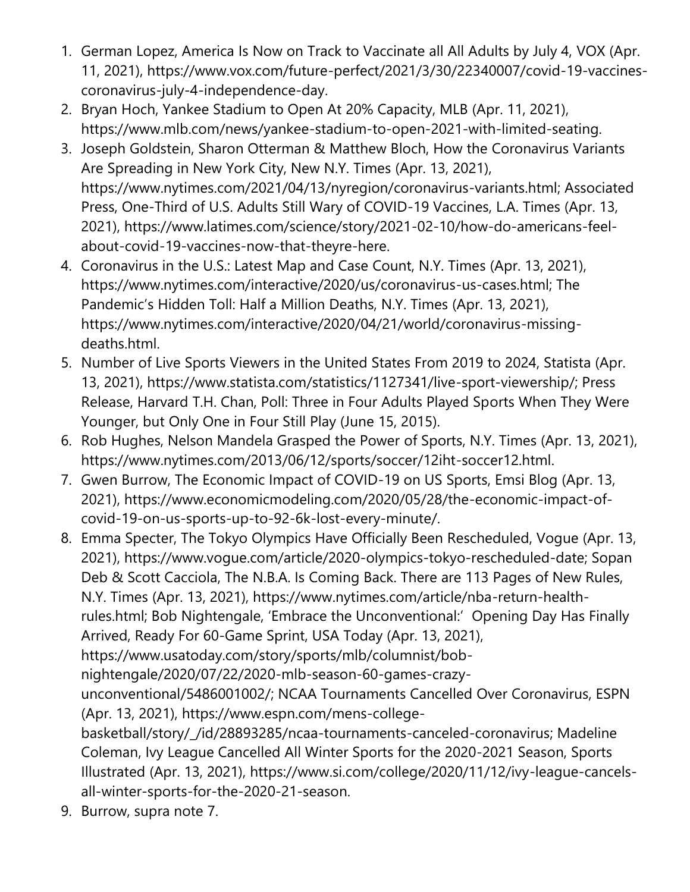- 1. German Lopez, America Is Now on Track to Vaccinate all All Adults by July 4, VOX (Apr. 11, 2021), https://www.vox.com/future-perfect/2021/3/30/22340007/covid-19-vaccinescoronavirus-july-4-independence-day.
- 2. Bryan Hoch, Yankee Stadium to Open At 20% Capacity, MLB (Apr. 11, 2021), https://www.mlb.com/news/yankee-stadium-to-open-2021-with-limited-seating.
- 3. Joseph Goldstein, Sharon Otterman & Matthew Bloch, How the Coronavirus Variants Are Spreading in New York City, New N.Y. Times (Apr. 13, 2021), https://www.nytimes.com/2021/04/13/nyregion/coronavirus-variants.html; Associated Press, One-Third of U.S. Adults Still Wary of COVID-19 Vaccines, L.A. Times (Apr. 13, 2021), https://www.latimes.com/science/story/2021-02-10/how-do-americans-feelabout-covid-19-vaccines-now-that-theyre-here.
- 4. Coronavirus in the U.S.: Latest Map and Case Count, N.Y. Times (Apr. 13, 2021), https://www.nytimes.com/interactive/2020/us/coronavirus-us-cases.html; The Pandemic's Hidden Toll: Half a Million Deaths, N.Y. Times (Apr. 13, 2021), https://www.nytimes.com/interactive/2020/04/21/world/coronavirus-missingdeaths.html.
- 5. Number of Live Sports Viewers in the United States From 2019 to 2024, Statista (Apr. 13, 2021), https://www.statista.com/statistics/1127341/live-sport-viewership/; Press Release, Harvard T.H. Chan, Poll: Three in Four Adults Played Sports When They Were Younger, but Only One in Four Still Play (June 15, 2015).
- 6. Rob Hughes, Nelson Mandela Grasped the Power of Sports, N.Y. Times (Apr. 13, 2021), https://www.nytimes.com/2013/06/12/sports/soccer/12iht-soccer12.html.
- 7. Gwen Burrow, The Economic Impact of COVID-19 on US Sports, Emsi Blog (Apr. 13, 2021), https://www.economicmodeling.com/2020/05/28/the-economic-impact-ofcovid-19-on-us-sports-up-to-92-6k-lost-every-minute/.
- 8. Emma Specter, The Tokyo Olympics Have Officially Been Rescheduled, Vogue (Apr. 13, 2021), https://www.vogue.com/article/2020-olympics-tokyo-rescheduled-date; Sopan Deb & Scott Cacciola, The N.B.A. Is Coming Back. There are 113 Pages of New Rules, N.Y. Times (Apr. 13, 2021), https://www.nytimes.com/article/nba-return-healthrules.html; Bob Nightengale, 'Embrace the Unconventional:' Opening Day Has Finally Arrived, Ready For 60-Game Sprint, USA Today (Apr. 13, 2021), https://www.usatoday.com/story/sports/mlb/columnist/bobnightengale/2020/07/22/2020-mlb-season-60-games-crazyunconventional/5486001002/; NCAA Tournaments Cancelled Over Coronavirus, ESPN (Apr. 13, 2021), https://www.espn.com/mens-collegebasketball/story/\_/id/28893285/ncaa-tournaments-canceled-coronavirus; Madeline Coleman, Ivy League Cancelled All Winter Sports for the 2020-2021 Season, Sports Illustrated (Apr. 13, 2021), https://www.si.com/college/2020/11/12/ivy-league-cancelsall-winter-sports-for-the-2020-21-season.
- 9. Burrow, supra note 7.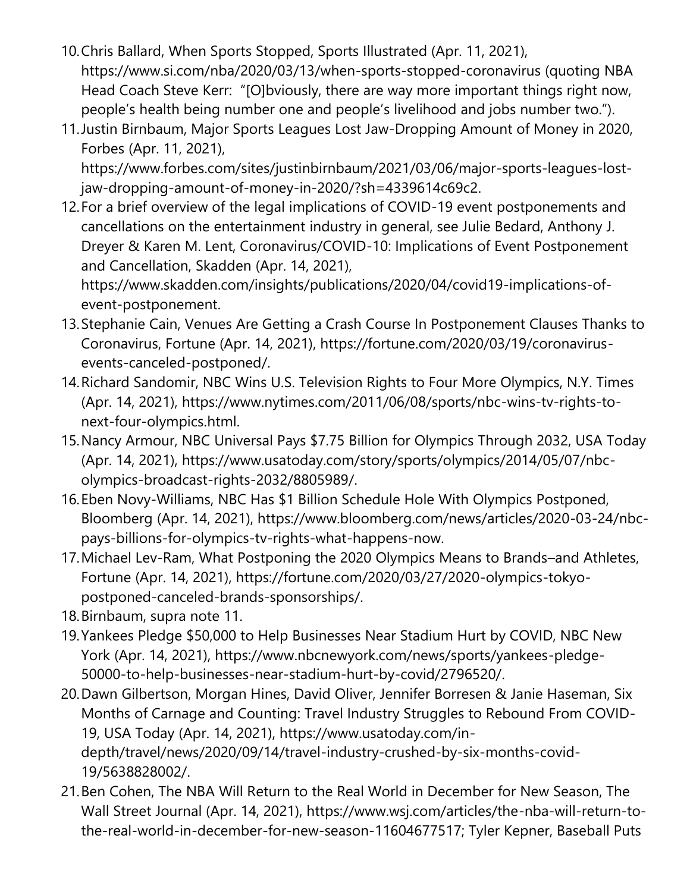- 10.Chris Ballard, When Sports Stopped, Sports Illustrated (Apr. 11, 2021), https://www.si.com/nba/2020/03/13/when-sports-stopped-coronavirus (quoting NBA Head Coach Steve Kerr: "[O]bviously, there are way more important things right now, people's health being number one and people's livelihood and jobs number two.").
- 11.Justin Birnbaum, Major Sports Leagues Lost Jaw-Dropping Amount of Money in 2020, Forbes (Apr. 11, 2021),

https://www.forbes.com/sites/justinbirnbaum/2021/03/06/major-sports-leagues-lostjaw-dropping-amount-of-money-in-2020/?sh=4339614c69c2.

12.For a brief overview of the legal implications of COVID-19 event postponements and cancellations on the entertainment industry in general, see Julie Bedard, Anthony J. Dreyer & Karen M. Lent, Coronavirus/COVID-10: Implications of Event Postponement and Cancellation, Skadden (Apr. 14, 2021),

https://www.skadden.com/insights/publications/2020/04/covid19-implications-ofevent-postponement.

- 13.Stephanie Cain, Venues Are Getting a Crash Course In Postponement Clauses Thanks to Coronavirus, Fortune (Apr. 14, 2021), https://fortune.com/2020/03/19/coronavirusevents-canceled-postponed/.
- 14.Richard Sandomir, NBC Wins U.S. Television Rights to Four More Olympics, N.Y. Times (Apr. 14, 2021), https://www.nytimes.com/2011/06/08/sports/nbc-wins-tv-rights-tonext-four-olympics.html.
- 15.Nancy Armour, NBC Universal Pays \$7.75 Billion for Olympics Through 2032, USA Today (Apr. 14, 2021), https://www.usatoday.com/story/sports/olympics/2014/05/07/nbcolympics-broadcast-rights-2032/8805989/.
- 16.Eben Novy-Williams, NBC Has \$1 Billion Schedule Hole With Olympics Postponed, Bloomberg (Apr. 14, 2021), https://www.bloomberg.com/news/articles/2020-03-24/nbcpays-billions-for-olympics-tv-rights-what-happens-now.
- 17.Michael Lev-Ram, What Postponing the 2020 Olympics Means to Brands–and Athletes, Fortune (Apr. 14, 2021), https://fortune.com/2020/03/27/2020-olympics-tokyopostponed-canceled-brands-sponsorships/.
- 18.Birnbaum, supra note 11.
- 19.Yankees Pledge \$50,000 to Help Businesses Near Stadium Hurt by COVID, NBC New York (Apr. 14, 2021), https://www.nbcnewyork.com/news/sports/yankees-pledge-50000-to-help-businesses-near-stadium-hurt-by-covid/2796520/.
- 20.Dawn Gilbertson, Morgan Hines, David Oliver, Jennifer Borresen & Janie Haseman, Six Months of Carnage and Counting: Travel Industry Struggles to Rebound From COVID-19, USA Today (Apr. 14, 2021), https://www.usatoday.com/indepth/travel/news/2020/09/14/travel-industry-crushed-by-six-months-covid-19/5638828002/.
- 21.Ben Cohen, The NBA Will Return to the Real World in December for New Season, The Wall Street Journal (Apr. 14, 2021), https://www.wsj.com/articles/the-nba-will-return-tothe-real-world-in-december-for-new-season-11604677517; Tyler Kepner, Baseball Puts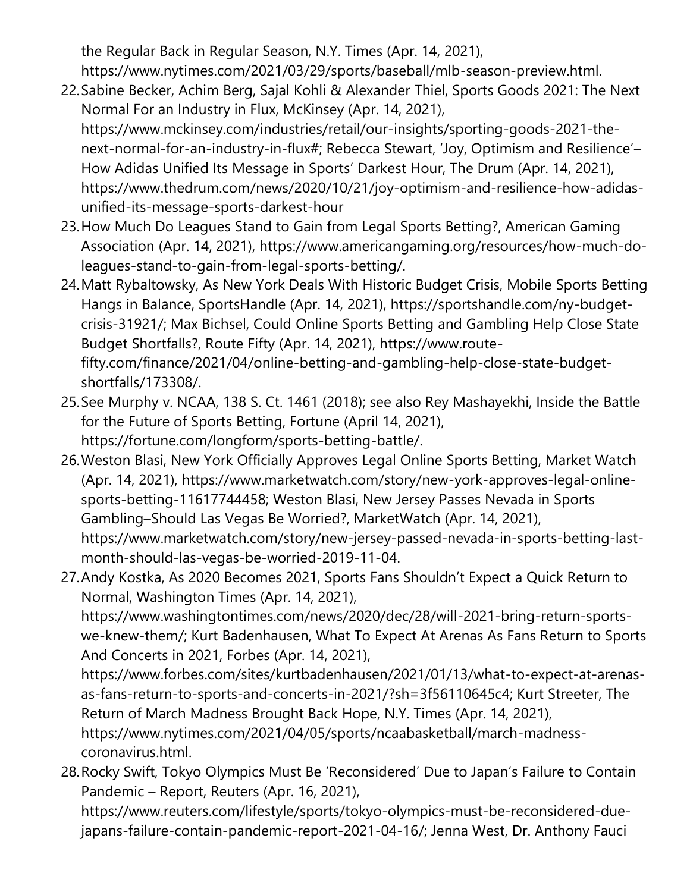the Regular Back in Regular Season, N.Y. Times (Apr. 14, 2021),

https://www.nytimes.com/2021/03/29/sports/baseball/mlb-season-preview.html.

- 22.Sabine Becker, Achim Berg, Sajal Kohli & Alexander Thiel, Sports Goods 2021: The Next Normal For an Industry in Flux, McKinsey (Apr. 14, 2021), https://www.mckinsey.com/industries/retail/our-insights/sporting-goods-2021-thenext-normal-for-an-industry-in-flux#; Rebecca Stewart, 'Joy, Optimism and Resilience'– How Adidas Unified Its Message in Sports' Darkest Hour, The Drum (Apr. 14, 2021), https://www.thedrum.com/news/2020/10/21/joy-optimism-and-resilience-how-adidasunified-its-message-sports-darkest-hour
- 23.How Much Do Leagues Stand to Gain from Legal Sports Betting?, American Gaming Association (Apr. 14, 2021), https://www.americangaming.org/resources/how-much-doleagues-stand-to-gain-from-legal-sports-betting/.
- 24.Matt Rybaltowsky, As New York Deals With Historic Budget Crisis, Mobile Sports Betting Hangs in Balance, SportsHandle (Apr. 14, 2021), https://sportshandle.com/ny-budgetcrisis-31921/; Max Bichsel, Could Online Sports Betting and Gambling Help Close State Budget Shortfalls?, Route Fifty (Apr. 14, 2021), https://www.routefifty.com/finance/2021/04/online-betting-and-gambling-help-close-state-budgetshortfalls/173308/.
- 25.See Murphy v. NCAA, 138 S. Ct. 1461 (2018); see also Rey Mashayekhi, Inside the Battle for the Future of Sports Betting, Fortune (April 14, 2021), https://fortune.com/longform/sports-betting-battle/.
- 26.Weston Blasi, New York Officially Approves Legal Online Sports Betting, Market Watch (Apr. 14, 2021), https://www.marketwatch.com/story/new-york-approves-legal-onlinesports-betting-11617744458; Weston Blasi, New Jersey Passes Nevada in Sports Gambling–Should Las Vegas Be Worried?, MarketWatch (Apr. 14, 2021), https://www.marketwatch.com/story/new-jersey-passed-nevada-in-sports-betting-lastmonth-should-las-vegas-be-worried-2019-11-04.
- 27.Andy Kostka, As 2020 Becomes 2021, Sports Fans Shouldn't Expect a Quick Return to Normal, Washington Times (Apr. 14, 2021), https://www.washingtontimes.com/news/2020/dec/28/will-2021-bring-return-sportswe-knew-them/; Kurt Badenhausen, What To Expect At Arenas As Fans Return to Sports And Concerts in 2021, Forbes (Apr. 14, 2021), https://www.forbes.com/sites/kurtbadenhausen/2021/01/13/what-to-expect-at-arenasas-fans-return-to-sports-and-concerts-in-2021/?sh=3f56110645c4; Kurt Streeter, The Return of March Madness Brought Back Hope, N.Y. Times (Apr. 14, 2021),

https://www.nytimes.com/2021/04/05/sports/ncaabasketball/march-madnesscoronavirus.html.

28.Rocky Swift, Tokyo Olympics Must Be 'Reconsidered' Due to Japan's Failure to Contain Pandemic – Report, Reuters (Apr. 16, 2021),

https://www.reuters.com/lifestyle/sports/tokyo-olympics-must-be-reconsidered-duejapans-failure-contain-pandemic-report-2021-04-16/; Jenna West, Dr. Anthony Fauci